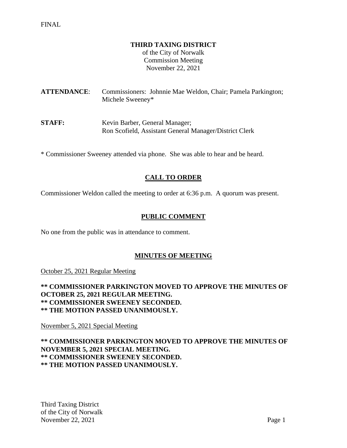#### **THIRD TAXING DISTRICT**

of the City of Norwalk Commission Meeting November 22, 2021

**ATTENDANCE**: Commissioners: Johnnie Mae Weldon, Chair; Pamela Parkington; Michele Sweeney\*

**STAFF:** Kevin Barber, General Manager; Ron Scofield, Assistant General Manager/District Clerk

\* Commissioner Sweeney attended via phone. She was able to hear and be heard.

## **CALL TO ORDER**

Commissioner Weldon called the meeting to order at 6:36 p.m. A quorum was present.

### **PUBLIC COMMENT**

No one from the public was in attendance to comment.

### **MINUTES OF MEETING**

October 25, 2021 Regular Meeting

**\*\* COMMISSIONER PARKINGTON MOVED TO APPROVE THE MINUTES OF OCTOBER 25, 2021 REGULAR MEETING. \*\* COMMISSIONER SWEENEY SECONDED. \*\* THE MOTION PASSED UNANIMOUSLY.**

November 5, 2021 Special Meeting

**\*\* COMMISSIONER PARKINGTON MOVED TO APPROVE THE MINUTES OF NOVEMBER 5, 2021 SPECIAL MEETING. \*\* COMMISSIONER SWEENEY SECONDED. \*\* THE MOTION PASSED UNANIMOUSLY.**

Third Taxing District of the City of Norwalk November 22, 2021 Page 1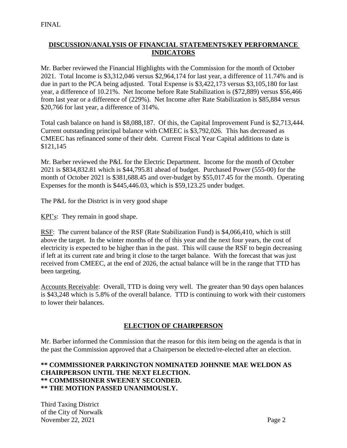## **DISCUSSION/ANALYSIS OF FINANCIAL STATEMENTS/KEY PERFORMANCE INDICATORS**

Mr. Barber reviewed the Financial Highlights with the Commission for the month of October 2021. Total Income is \$3,312,046 versus \$2,964,174 for last year, a difference of 11.74% and is due in part to the PCA being adjusted. Total Expense is \$3,422,173 versus \$3,105,180 for last year, a difference of 10.21%. Net Income before Rate Stabilization is (\$72,889) versus \$56,466 from last year or a difference of (229%). Net Income after Rate Stabilization is \$85,884 versus \$20,766 for last year, a difference of 314%.

Total cash balance on hand is \$8,088,187. Of this, the Capital Improvement Fund is \$2,713,444. Current outstanding principal balance with CMEEC is \$3,792,026. This has decreased as CMEEC has refinanced some of their debt. Current Fiscal Year Capital additions to date is \$121,145

Mr. Barber reviewed the P&L for the Electric Department. Income for the month of October 2021 is \$834,832.81 which is \$44,795.81 ahead of budget. Purchased Power (555-00) for the month of October 2021 is \$381,688.45 and over-budget by \$55,017.45 for the month. Operating Expenses for the month is \$445,446.03, which is \$59,123.25 under budget.

The P&L for the District is in very good shape

KPI's: They remain in good shape.

RSF: The current balance of the RSF (Rate Stabilization Fund) is \$4,066,410, which is still above the target. In the winter months of the of this year and the next four years, the cost of electricity is expected to be higher than in the past. This will cause the RSF to begin decreasing if left at its current rate and bring it close to the target balance. With the forecast that was just received from CMEEC, at the end of 2026, the actual balance will be in the range that TTD has been targeting.

Accounts Receivable: Overall, TTD is doing very well. The greater than 90 days open balances is \$43,248 which is 5.8% of the overall balance. TTD is continuing to work with their customers to lower their balances.

### **ELECTION OF CHAIRPERSON**

Mr. Barber informed the Commission that the reason for this item being on the agenda is that in the past the Commission approved that a Chairperson be elected/re-elected after an election.

### **\*\* COMMISSIONER PARKINGTON NOMINATED JOHNNIE MAE WELDON AS CHAIRPERSON UNTIL THE NEXT ELECTION. \*\* COMMISSIONER SWEENEY SECONDED. \*\* THE MOTION PASSED UNANIMOUSLY.**

Third Taxing District of the City of Norwalk November 22, 2021 Page 2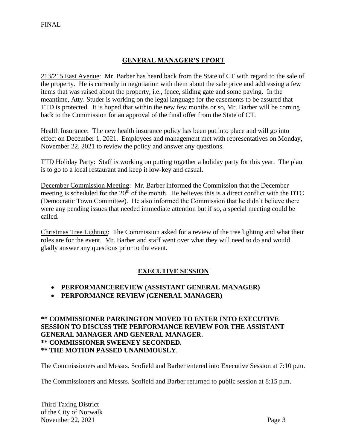# **GENERAL MANAGER'S EPORT**

213/215 East Avenue: Mr. Barber has heard back from the State of CT with regard to the sale of the property. He is currently in negotiation with them about the sale price and addressing a few items that was raised about the property, i.e., fence, sliding gate and some paving. In the meantime, Atty. Studer is working on the legal language for the easements to be assured that TTD is protected. It is hoped that within the new few months or so, Mr. Barber will be coming back to the Commission for an approval of the final offer from the State of CT.

Health Insurance: The new health insurance policy has been put into place and will go into effect on December 1, 2021. Employees and management met with representatives on Monday, November 22, 2021 to review the policy and answer any questions.

TTD Holiday Party: Staff is working on putting together a holiday party for this year. The plan is to go to a local restaurant and keep it low-key and casual.

December Commission Meeting: Mr. Barber informed the Commission that the December meeting is scheduled for the  $20<sup>th</sup>$  of the month. He believes this is a direct conflict with the DTC (Democratic Town Committee). He also informed the Commission that he didn't believe there were any pending issues that needed immediate attention but if so, a special meeting could be called.

Christmas Tree Lighting: The Commission asked for a review of the tree lighting and what their roles are for the event. Mr. Barber and staff went over what they will need to do and would gladly answer any questions prior to the event.

### **EXECUTIVE SESSION**

- **PERFORMANCEREVIEW (ASSISTANT GENERAL MANAGER)**
- **PERFORMANCE REVIEW (GENERAL MANAGER)**

### **\*\* COMMISSIONER PARKINGTON MOVED TO ENTER INTO EXECUTIVE SESSION TO DISCUSS THE PERFORMANCE REVIEW FOR THE ASSISTANT GENERAL MANAGER AND GENERAL MANAGER. \*\* COMMISSIONER SWEENEY SECONDED. \*\* THE MOTION PASSED UNANIMOUSLY**.

The Commissioners and Messrs. Scofield and Barber entered into Executive Session at 7:10 p.m.

The Commissioners and Messrs. Scofield and Barber returned to public session at 8:15 p.m.

Third Taxing District of the City of Norwalk November 22, 2021 Page 3